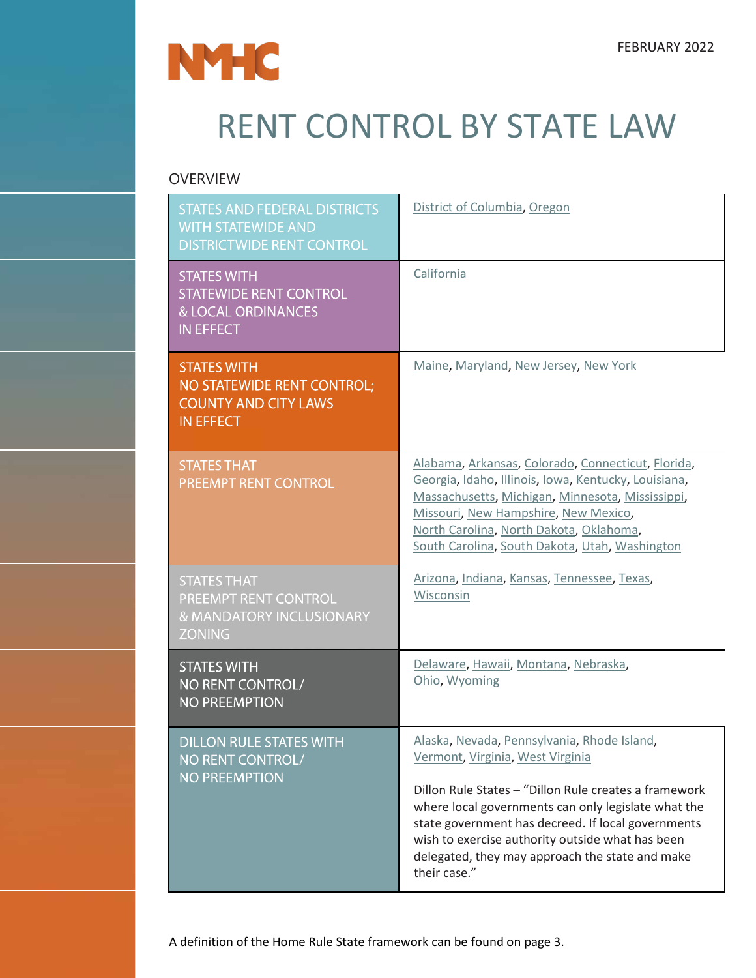

# RENT CONTROL BY STATE LAW

### OVERVIEW

| <b>STATES AND FEDERAL DISTRICTS</b><br><b>WITH STATEWIDE AND</b><br><b>DISTRICTWIDE RENT CONTROL</b>     | District of Columbia, Oregon                                                                                                                                                                                                                                                                                                                                                 |
|----------------------------------------------------------------------------------------------------------|------------------------------------------------------------------------------------------------------------------------------------------------------------------------------------------------------------------------------------------------------------------------------------------------------------------------------------------------------------------------------|
| <b>STATES WITH</b><br><b>STATEWIDE RENT CONTROL</b><br><b>&amp; LOCAL ORDINANCES</b><br><b>IN EFFECT</b> | California                                                                                                                                                                                                                                                                                                                                                                   |
| <b>STATES WITH</b><br>NO STATEWIDE RENT CONTROL;<br><b>COUNTY AND CITY LAWS</b><br><b>IN EFFECT</b>      | Maine, Maryland, New Jersey, New York                                                                                                                                                                                                                                                                                                                                        |
| <b>STATES THAT</b><br>PREEMPT RENT CONTROL                                                               | Alabama, Arkansas, Colorado, Connecticut, Florida,<br>Georgia, Idaho, Illinois, Iowa, Kentucky, Louisiana,<br>Massachusetts, Michigan, Minnesota, Mississippi,<br>Missouri, New Hampshire, New Mexico,<br>North Carolina, North Dakota, Oklahoma,<br>South Carolina, South Dakota, Utah, Washington                                                                          |
| <b>STATES THAT</b><br>PREEMPT RENT CONTROL<br>& MANDATORY INCLUSIONARY<br><b>ZONING</b>                  | Arizona, Indiana, Kansas, Tennessee, Texas,<br>Wisconsin                                                                                                                                                                                                                                                                                                                     |
| <b>STATES WITH</b><br>NO RENT CONTROL/<br><b>NO PREEMPTION</b>                                           | Delaware, Hawaii, Montana, Nebraska,<br>Ohio, Wyoming                                                                                                                                                                                                                                                                                                                        |
| <b>DILLON RULE STATES WITH</b><br>NO RENT CONTROL/<br><b>NO PREEMPTION</b>                               | Alaska, Nevada, Pennsylvania, Rhode Island,<br>Vermont, Virginia, West Virginia<br>Dillon Rule States - "Dillon Rule creates a framework<br>where local governments can only legislate what the<br>state government has decreed. If local governments<br>wish to exercise authority outside what has been<br>delegated, they may approach the state and make<br>their case." |

A definition of the Home Rule State framework can be found on page 3.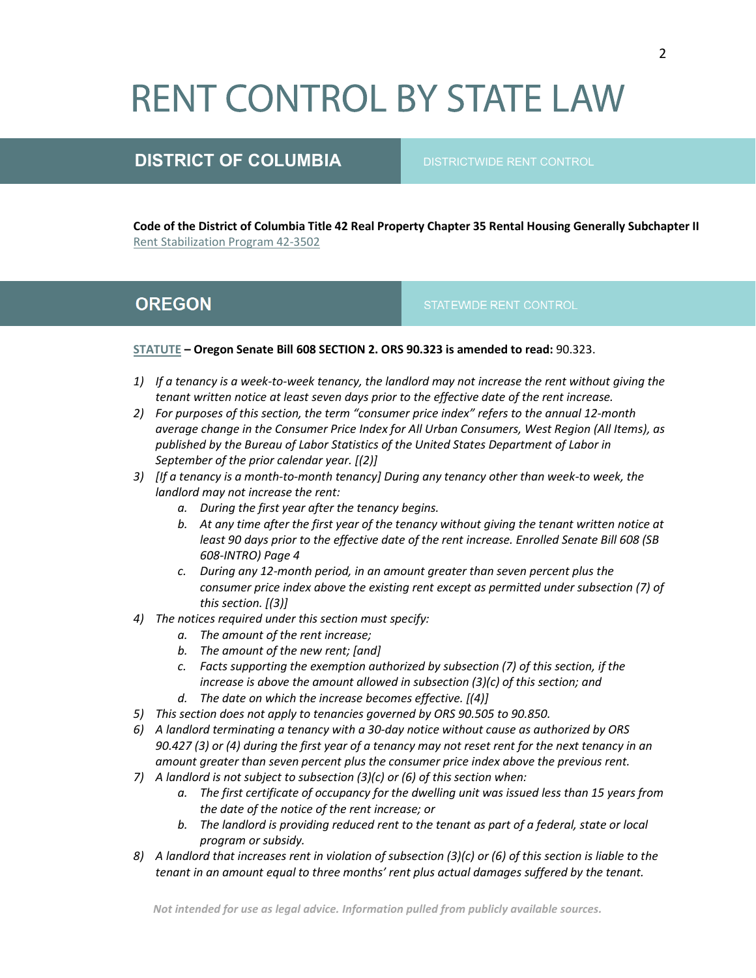# **RENT CONTROL BY STATE LAW**

### **DISTRICT OF COLUMBIA** DISTRICTWIDE RENT CONTROL

**Code of the District of Columbia Title 42 Real Property Chapter 35 Rental Housing Generally Subchapter II**  [Rent Stabilization Program 42-3502](https://code.dccouncil.us/dc/council/code/titles/42/chapters/35/subchapters/II/)

### <span id="page-1-0"></span>**OREGON**

### **[STATUTE](https://olis.oregonlegislature.gov/liz/2019R1/Downloads/MeasureDocument/SB608/Enrolled) – Oregon Senate Bill 608 SECTION 2. ORS 90.323 is amended to read:** 90.323.

- *1) If a tenancy is a week-to-week tenancy, the landlord may not increase the rent without giving the tenant written notice at least seven days prior to the effective date of the rent increase.*
- *2) For purposes of this section, the term "consumer price index" refers to the annual 12-month average change in the Consumer Price Index for All Urban Consumers, West Region (All Items), as published by the Bureau of Labor Statistics of the United States Department of Labor in September of the prior calendar year. [(2)]*
- *3) [If a tenancy is a month-to-month tenancy] During any tenancy other than week-to week, the landlord may not increase the rent:*
	- *a. During the first year after the tenancy begins.*
	- *b. At any time after the first year of the tenancy without giving the tenant written notice at least 90 days prior to the effective date of the rent increase. Enrolled Senate Bill 608 (SB 608-INTRO) Page 4*
	- *c. During any 12-month period, in an amount greater than seven percent plus the consumer price index above the existing rent except as permitted under subsection (7) of this section. [(3)]*
- *4) The notices required under this section must specify:* 
	- *a. The amount of the rent increase;*
	- *b. The amount of the new rent; [and]*
	- *c. Facts supporting the exemption authorized by subsection (7) of this section, if the increase is above the amount allowed in subsection (3)(c) of this section; and d. The date on which the increase becomes effective. [(4)]*
- *5) This section does not apply to tenancies governed by ORS 90.505 to 90.850.*
- *6) A landlord terminating a tenancy with a 30-day notice without cause as authorized by ORS 90.427 (3) or (4) during the first year of a tenancy may not reset rent for the next tenancy in an amount greater than seven percent plus the consumer price index above the previous rent.*
- *7) A landlord is not subject to subsection (3)(c) or (6) of this section when:* 
	- *a. The first certificate of occupancy for the dwelling unit was issued less than 15 years from the date of the notice of the rent increase; or*
	- *b. The landlord is providing reduced rent to the tenant as part of a federal, state or local program or subsidy.*
- *8) A landlord that increases rent in violation of subsection (3)(c) or (6) of this section is liable to the tenant in an amount equal to three months' rent plus actual damages suffered by the tenant.*

2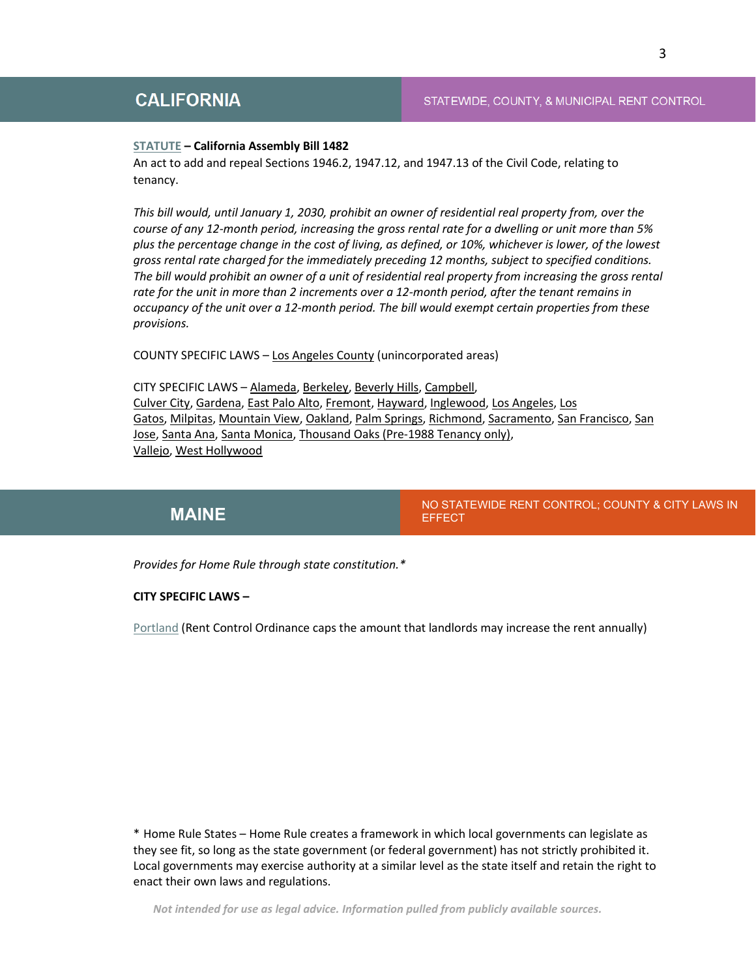### STATEWIDE, COUNTY, & MUNICIPAL RENT CONTROL

#### <span id="page-2-0"></span>**[STATUTE](https://leginfo.legislature.ca.gov/faces/billTextClient.xhtml?bill_id=201920200AB1482) – California Assembly Bill 1482**

An act to add and repeal Sections 1946.2, 1947.12, and 1947.13 of the Civil Code, relating to tenancy.

*This bill would, until January 1, 2030, prohibit an owner of residential real property from, over the course of any 12-month period, increasing the gross rental rate for a dwelling or unit more than 5% plus the percentage change in the cost of living, as defined, or 10%, whichever is lower, of the lowest gross rental rate charged for the immediately preceding 12 months, subject to specified conditions. The bill would prohibit an owner of a unit of residential real property from increasing the gross rental rate for the unit in more than 2 increments over a 12-month period, after the tenant remains in occupancy of the unit over a 12-month period. The bill would exempt certain properties from these provisions.*

COUNTY SPECIFIC LAWS – [Los Angeles County](https://dcba.lacounty.gov/wp-content/uploads/2019/04/LAC-Amending-Ordinance-No-2018-0045.pdf) (unincorporated areas)

CITY SPECIFIC LAWS – [Alameda,](http://www.alamedarentprogram.org/s/Rent-Stabilization-Ordinance-3148.pdf) [Berkeley,](https://www.cityofberkeley.info/Rent_Stabilization_Board/Home/Ordinance__Rent_Stabilization_and_Eviction_for_Good_Cause.aspx#1376030) [Beverly Hills,](http://www.beverlyhills.org/cbhfiles/storage/files/1727866790695710678/Chapter6CodeUpdated5-2-2018SterlingCodifiers.pdf) [Campbell,](https://library.municode.com/ca/campbell/codes/code_of_ordinances?nodeId=TIT6HESA_CH6.09REINDIRE) [Culver City,](http://www.culvercity.org/home/showdocument?id=17922) [Gardena,](https://www.codepublishing.com/CA/Gardena/html/Gardena14/Gardena1404.html) [East Palo Alto,](https://library.municode.com/ca/east_palo_alto/codes/code_of_ordinances?nodeId=TIT14HO) [Fremont,](http://www.codepublishing.com/CA/Fremont/?Fremont09/Fremont0960.html) [Hayward,](https://www.hayward-ca.gov/sites/default/files/documents/Residential%20Rent%20Stabilization%20Ordinance%2016-19.pdf) [Inglewood,](https://www.cityofinglewood.org/DocumentCenter/View/12930/Urgency-Interim-Ordinance-Rent-Control?bidId=) [Los Angeles,](http://library.amlegal.com/nxt/gateway.dll?f=templates&fn=default.htm&vid=amlegal:lamc_ca) [Los](http://www.losgatosca.gov/DocumentCenter/View/1944/Rental-Dispute-Ordinance-2128)  [Gatos,](http://www.losgatosca.gov/DocumentCenter/View/1944/Rental-Dispute-Ordinance-2128) [Milpitas,](http://www.ci.milpitas.ca.gov/_pdfs/task_force/tenant/2019/012319/attachment2.pdf) [Mountain View,](https://library.municode.com/ca/mountain_view/codes/code_of_ordinances?nodeId=PTITHCH_ARTXVIICOSTFAREAC) [Oakland,](https://library.municode.com/ca/oakland/codes/code_of_ordinances?nodeId=TIT8HESA_CH8.22REREADEV) [Palm Springs,](http://www.qcode.us/codes/palmsprings/?view=desktop&topic=4-4_08-4_08_060) [Richmond,](http://www.ci.richmond.ca.us/DocumentCenter/View/41144/Richmond-Fair-Rent-Just-Cause-for-Eviction-and-Homeowner-Protection-Ordinance?bidId=) [Sacramento,](https://sacramento.granicus.com/MetaViewer.php?view_id=21&event_id=3517&meta_id=561754) [San Francisco,](https://sfrb.org/sites/default/files/Document/Ordinance%26Regulations/600%20Ordinance%20Bookmarked%204.25.18.pdf) [San](http://www.sanjoseca.gov/DocumentCenter/View/73543)  [Jose,](http://www.sanjoseca.gov/DocumentCenter/View/73543) [Santa Ana,](https://www.santa-ana.org/rso) [Santa Monica,](https://www.smgov.net/uploadedFiles/Departments/Rent_Control/Rent_Control_Law/CharterAmndmnt.pdf) [Thousand Oaks \(Pre-1988 Tenancy only\),](http://library.amlegal.com/nxt/gateway.dll/California/thousandoaks_ca/thecityofthousandoakscaliforniamunicipal?f=templates$fn=default.htm$3.0$vid=amlegal:thousandoaks_ca) [Vallejo,](http://www.cityofvallejo.net/common/pages/DisplayFile.aspx?itemId=15789634) [West Hollywood](https://www.weho.org/home/showdocument?id=22540)

NO STATEWIDE RENT CONTROL; COUNTY & CITY LAWS IN **[MAINE](#page-2-1)** EFFECT

<span id="page-2-1"></span>*Provides for Home Rule through state constitution.\**

#### **CITY SPECIFIC LAWS –**

[Portland](https://www.portlandmaine.gov/2078/Rent-Control-Rental-Housing-Rights) (Rent Control Ordinance caps the amount that landlords may increase the rent annually)

\* Home Rule States – Home Rule creates a framework in which local governments can legislate as they see fit, so long as the state government (or federal government) has not strictly prohibited it. Local governments may exercise authority at a similar level as the state itself and retain the right to enact their own laws and regulations.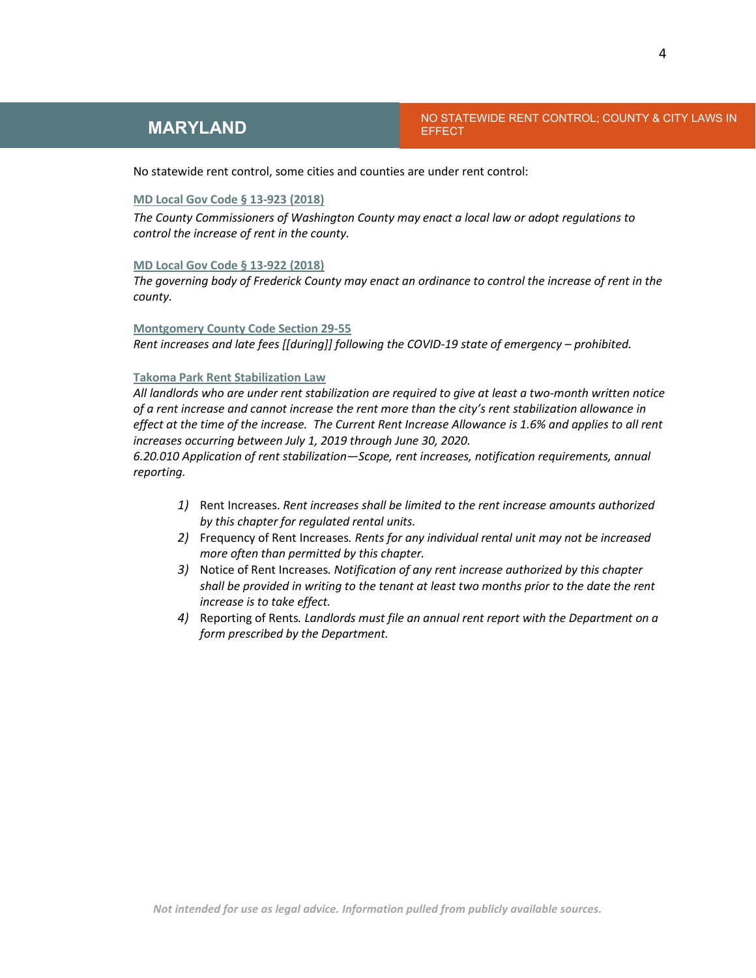**NO STATEWIDE RENT CONTROL; COUNTY & CITY LAWS IN BEFECT** 

No statewide rent control, some cities and counties are under rent control:

### **[MD Local Gov Code § 13-923 \(2018\)](https://law.justia.com/codes/maryland/2018/local-government/division-iii/title-13/subtitle-9/part-iv/section-13-923/)**

*The County Commissioners of Washington County may enact a local law or adopt regulations to control the increase of rent in the county.*

#### **[MD Local Gov Code § 13-922 \(2018\)](https://law.justia.com/codes/maryland/2018/local-government/division-iii/title-13/subtitle-9/part-iv/section-13-922/)**

*The governing body of Frederick County may enact an ordinance to control the increase of rent in the county.*

#### **[Montgomery County Code Section 29-55](https://apps.montgomerycountymd.gov/ccllims/BillDetailsPage?RecordId=2721)**

*Rent increases and late fees [[during]] following the COVID-19 state of emergency – prohibited.*

#### **[Takoma Park Rent Stabilization Law](https://takomaparkmd.gov/government/housing-and-community-development/rental-housing/rent-stabilization/)**

*All landlords who are under rent stabilization are required to give at least a two-month written notice of a rent increase and cannot increase the rent more than the city's rent stabilization allowance in effect at the time of the increase. The Current Rent Increase Allowance is 1.6% and applies to all rent increases occurring between July 1, 2019 through June 30, 2020.*

*6.20.010 Application of rent stabilization—Scope, rent increases, notification requirements, annual reporting.* 

- *1)* Rent Increases. *Rent increases shall be limited to the rent increase amounts authorized by this chapter for regulated rental units.*
- *2)* Frequency of Rent Increases*. Rents for any individual rental unit may not be increased more often than permitted by this chapter.*
- *3)* Notice of Rent Increases*. Notification of any rent increase authorized by this chapter shall be provided in writing to the tenant at least two months prior to the date the rent increase is to take effect.*
- *4)* Reporting of Rents*. Landlords must file an annual rent report with the Department on a form prescribed by the Department.*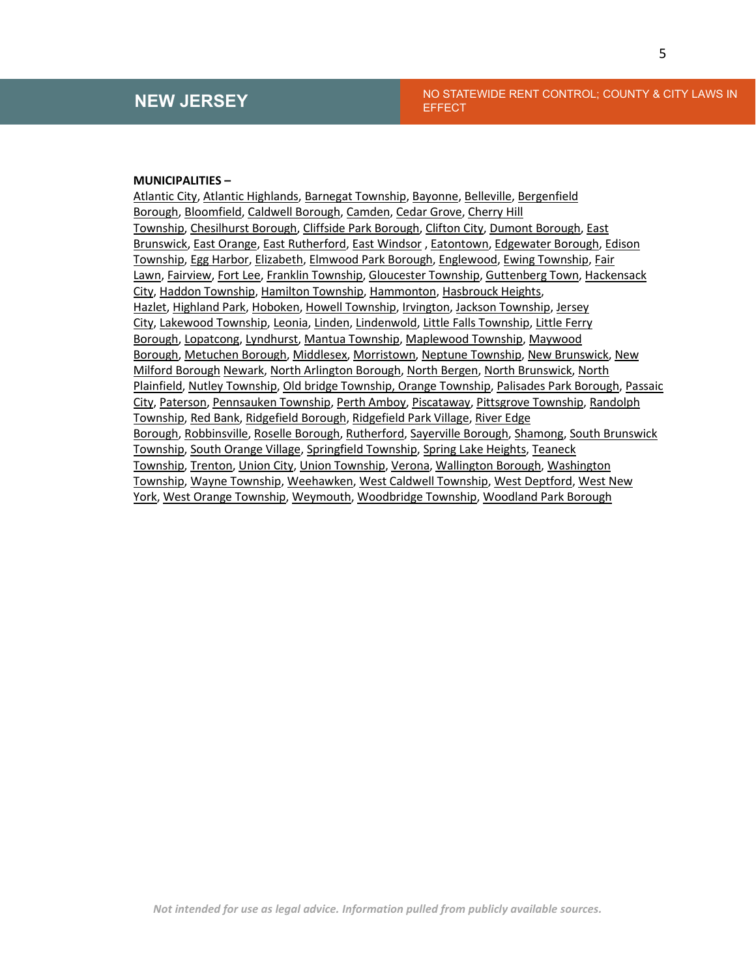### **NEW JERSEY** NO STATEWIDE RENT CONTROL; COUNTY & CITY LAWS IN EFFECT

### **MUNICIPALITIES –**

[Atlantic City,](https://www.ecode360.com/15206246a) [Atlantic Highlands,](https://ecode360.com/13514326) [Barnegat Township,](http://clerkshq.com/default.ashx?clientsite=Barnegat-nj) [Bayonne,](http://clerkshq.com/Content/Bayonne-nj/books/code/bayonnec16.htm) [Belleville,](http://clerkshq.com/temp/f8b93f01-4a0c-4d15-9750-94d684474fd7.pdf) [Bergenfield](https://ecode360.com/8944425)  [Borough,](https://ecode360.com/8944425) [Bloomfield,](https://ecode360.com/11765765) [Caldwell Borough,](https://ecode360.com/9991784) [Camden,](https://ecode360.com/8509581) [Cedar Grove,](https://ecode360.com/9245509) [Cherry Hill](http://clerkshq.com/temp/a0290d8c-628f-4cc5-b74e-c302f6a0f257.pdf)  [Township,](http://clerkshq.com/temp/a0290d8c-628f-4cc5-b74e-c302f6a0f257.pdf) [Chesilhurst](https://ecode360.com/13502383) Borough, [Cliffside Park Borough,](http://clerkshq.com/temp/67b567ad-a0ec-4e72-b28d-13ac4ec19d0a.pdf) [Clifton City,](https://ecode360.com/8518319) [Dumont Borough,](https://ecode360.com/9555690) [East](http://clerkshq.com/temp/45f02094-0feb-47aa-bc4b-e22e41512f3b.pdf)  [Brunswick,](http://clerkshq.com/temp/45f02094-0feb-47aa-bc4b-e22e41512f3b.pdf) [East Orange,](https://ecode360.com/9565553) [East Rutherford,](https://ecode360.com/9412584) [East Windsor](http://clerkshq.com/default.ashx?clientsite=Eastwindsor-nj) , [Eatontown,](https://ecode360.com/7640755) [Edgewater Borough,](https://ecode360.com/14392420) [Edison](http://clerkshq.com/default.ashx?clientsite=Edison-nj)  [Township,](http://clerkshq.com/default.ashx?clientsite=Edison-nj) [Egg Harbor,](https://ecode360.com/8040464) [Elizabeth,](https://library.municode.com/nj/elizabeth/codes/code_of_ordinances?nodeId=TIT5BULIRE_CH5.70RECOST) [Elmwood Park Borough,](http://clerkshq.com/default.ashx?clientsite=ElmwoodPark-nj) [Englewood,](https://ecode360.com/13859839) [Ewing Township,](https://ecode360.com/9384825) [Fair](https://ecode360.com/10054997)  [Lawn,](https://ecode360.com/10054997) [Fairview,](http://clerkshq.com/temp/5d2db312-dc49-4b6d-a4f8-fa768310a659.pdf) [Fort Lee,](https://ecode360.com/10069189) [Franklin Township,](https://ecode360.com/6345363) [Gloucester Township,](https://sites.google.com/site/glotwpcode/TABLE-OF-CONTENTS/part-ii---regulatory-ordinances/chapter-68-rent-stabilization) [Guttenberg Town,](http://clerkshq.com/temp/413d6e2f-1e00-4732-8c82-9f532185271a.pdf) [Hackensack](https://ecode360.com/13166925)  [City,](https://ecode360.com/13166925) [Haddon Township,](http://www.haddontwp.com/wp-content/uploads/2010/02/1296-Rent-Control1.pdf) [Hamilton Township,](https://www.ecode360.com/27520936) [Hammonton,](http://library.amlegal.com/nxt/gateway.dll/New%20Jersey/hammonton_nj/codeofthetownofhammonton?f=templates$fn=default.htm$3.0$vid=amlegal:hammonton_nj) [Hasbrouck Heights,](https://ecode360.com/36499244) [Hazlet,](https://ecode360.com/35230798) [Highland Park,](https://ecode360.com/10613114) [Hoboken,](https://ecode360.com/15252438) [Howell Township,](https://ecode360.com/6673782) [Irvington,](https://ecode360.com/30526708) [Jackson Township,](https://ecode360.com/15790240) [Jersey](https://library.municode.com/nj/jersey_city/codes/code_of_ordinances?nodeId=CH260RECO)  [City,](https://library.municode.com/nj/jersey_city/codes/code_of_ordinances?nodeId=CH260RECO) [Lakewood Township,](http://clerkshq.com/default.ashx?clientsite=lakewood-nj) [Leonia,](https://ecode360.com/9252208) [Linden,](http://clerkshq.com/default.ashx?clientsite=Linden-nj) [Lindenwold,](https://ecode360.com/31655217) [Little Falls Township,](https://ecode360.com/6922250) [Little Ferry](http://clerkshq.com/temp/6d019b95-bf94-48c7-b329-7ad4871e9829.pdf)  [Borough,](http://clerkshq.com/temp/6d019b95-bf94-48c7-b329-7ad4871e9829.pdf) [Lopatcong,](https://ecode360.com/10311318) [Lyndhurst,](http://clerkshq.com/temp/26ee4665-933c-418f-913d-17d2908eb699.pdf) [Mantua Township,](https://ecode360.com/9579372) [Maplewood Township,](https://ecode360.com/9420567) [Maywood](https://ecode360.com/10330940)  [Borough,](https://ecode360.com/10330940) [Metuchen Borough,](http://clerkshq.com/default.ashx?clientsite=metuchen-nj) [Middlesex,](https://ecode360.com/10336150) [Morristown,](https://www.townofmorristown.org/vertical/sites/%7B0813EA2E-B627-4F82-BBB0-DDEE646947B5%7D/uploads/Rent_Control_Ordinance_Town_of_Morristown.pdf) [Neptune Township,](http://www.neptunetownship.org/sites/default/files/documents/RentLeveling/Rent%20Control%20Ord%20with%20amendments_0.pdf) [New Brunswick,](https://library.municode.com/nj/new_brunswick/codes/code_of_ordinances?nodeId=TIT5BULIRE_CH5.80RECO#TOPTITLE) [New](http://clerkshq.com/default.ashx?clientsite=NewMilford-nj)  [Milford Borough](http://clerkshq.com/default.ashx?clientsite=NewMilford-nj) [Newark,](http://clerkshq.com/default.ashx?clientsite=Newark-nj) [North Arlington Borough,](https://ecode360.com/11268672) [North Bergen,](http://www.northbergen.org/_Content/pdf/Rent-Control-Ordinance.pdf) [North Brunswick,](https://ecode360.com/8536376#8536376) [North](http://clerkshq.com/default.ashx?clientsite=NorthPlainfield-nj)  [Plainfield,](http://clerkshq.com/default.ashx?clientsite=NorthPlainfield-nj) [Nutley Township,](https://ecode360.com/12133328) [Old bridge Township](https://ecode360.com/7013390#7013390)[, Orange Township,](http://clerkshq.com/temp/8f3d9bab-8d37-45f1-befb-52022d708f15.pdf) [Palisades Park Borough,](https://ecode360.com/9263352) [Passaic](https://ecode360.com/8638096)  [City,](https://ecode360.com/8638096) [Paterson,](https://ecode360.com/8553068) [Pennsauken Township,](https://ecode360.com/11309023) [Perth Amboy,](http://clerkshq.com/default.ashx?clientsite=PerthAmboy-nj) [Piscataway,](http://clerkshq.com/default.ashx?clientsite=Piscataway-nj) Pittsgrove [Township,](https://ecode360.com/9114500) [Randolph](https://library.municode.com/nj/randolph_township/codes/code_of_ordinances?nodeId=REOR_CH26HO_ARTVRELE)  [Township,](https://library.municode.com/nj/randolph_township/codes/code_of_ordinances?nodeId=REOR_CH26HO_ARTVRELE) [Red Bank,](https://ecode360.com/14163634) [Ridgefield Borough,](https://ecode360.com/9124437) [Ridgefield Park Village,](https://ecode360.com/13320668) [River Edge](https://ecode360.com/11321619)  [Borough,](https://ecode360.com/11321619) [Robbinsville,](https://ecode360.com/6354789) [Roselle Borough,](https://ecode360.com/8283414) [Rutherford,](https://ecode360.com/11346014) [Sayerville](https://library.municode.com/nj/sayreville_borough/codes/code_of_ordinances?nodeId=CHXIIBUHO_12-6RECO) Borough, [Shamong,](https://ecode360.com/11357104) [South Brunswick](https://library.municode.com/nj/south_brunswick_township/codes/code_of_ordinances?nodeId=CH78OFMIPR_ARTVRECO)  [Township,](https://library.municode.com/nj/south_brunswick_township/codes/code_of_ordinances?nodeId=CH78OFMIPR_ARTVRECO) [South Orange Village,](https://southorange.municipalcodeonline.com/book?type=ordinances#name=Ch_254_Rental_Property) [Springfield Township,](http://clerkshq.com/default.ashx?clientsite=Springfield-nj) [Spring Lake Heights,](https://www.nj.gov/dca/divisions/codes/publications/pdf_lti/rnt_cntrl_srvy_2009.pdf) [Teaneck](https://ecode360.com/13655473)  [Township,](https://ecode360.com/13655473) [Trenton,](https://ecode360.com/9132503) [Union City,](https://ecode360.com/15396991) [Union Township,](https://ecode360.com/7969832) [Verona,](https://ecode360.com/12271157) [Wallington Borough,](https://ecode360.com/15122299) [Washington](https://ecode360.com/7662437#7662437)  [Township,](https://ecode360.com/7662437#7662437) [Wayne Township,](http://clerkshq.com/default.ashx?clientsite=Wayne-nj) [Weehawken,](https://www.weehawken-nj.us/home/showpublisheddocument/1350/637732008991670000) [West Caldwell Township,](http://clerkshq.com/default.ashx?clientsite=WestCaldwell-nj) [West Deptford,](http://clerkshq.com/default.ashx?clientsite=westdeptford-nj) [West New](https://ecode360.com/14544052)  [York,](https://ecode360.com/14544052) [West Orange Township,](http://clerkshq.com/Content/WestOrange-nj/books/worangec15.htm) [Weymouth,](https://ecode360.com/11411444) [Woodbridge Township,](http://clerkshq.com/default.ashx?clientsite=Woodbridge-nj) [Woodland Park Borough](http://clerkshq.com/default.ashx?clientsite=WoodlandPark-nj)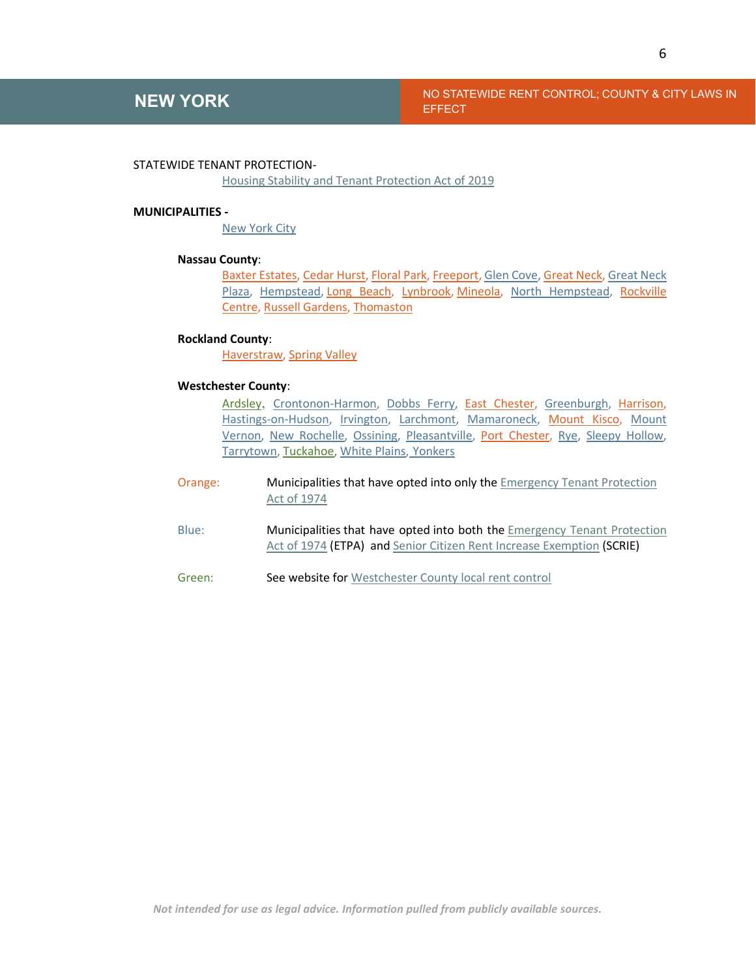### **NEW YORK** NO STATEWIDE RENT CONTROL; COUNTY & CITY LAWS IN **EFFECT**

#### STATEWIDE TENANT PROTECTION-

[Housing Stability and Tenant Protection Act of 2019](https://assembly.state.ny.us/leg/?default_fld=&bn=S06458&term=2019&Summary=Y&Actions=Y&Text=Y&Committee%26nbspVotes=Y&Floor%26nbspVotes=Y#S06458)

#### **MUNICIPALITIES -**

[New York City](http://library.amlegal.com/nxt/gateway.dll/New%20York/admin/title26housingandbuildings/chapter3rentcontrol?f=templates$fn=default.htm$3.0$vid=amlegal:newyork_ny$anc=JD_T26C003)

### **Nassau County**:

[Baxter Estates,](http://www.nyshcr.org/Rent/about.htm) [Cedar Hurst,](https://hcr.ny.gov/office-rent-administration-ora) [Floral Park, Freeport,](http://www.nyshcr.org/Rent/about.htm) [Glen Cove,](https://hcr.ny.gov/office-rent-administration-ora) [Great Neck,](http://www.nyshcr.org/Rent/about.htm) [Great Neck](http://www.nyshcr.org/Rent/about.htm)  [Plaza,](http://www.nyshcr.org/Rent/about.htm) [Hempstead,](http://www.nyshcr.org/Rent/about.htm) [Long Beach,](https://hcr.ny.gov/office-rent-administration-ora) [Lynbrook,](http://www.nyshcr.org/Rent/about.htm) [Mineola,](http://www.nyshcr.org/Rent/about.htm) [North Hempstead,](http://www.nyshcr.org/Rent/about.htm) Rockville [Centre,](http://www.nyshcr.org/Rent/about.htm) [Russell Gardens,](http://www.nyshcr.org/Rent/about.htm) [Thomaston](http://www.nyshcr.org/Rent/about.htm)

#### **Rockland County**:

[Haverstraw,](http://www.nyshcr.org/Rent/about.htm) [Spring Valley](http://www.nyshcr.org/Rent/about.htm)

### **Westchester County**:

[Ardsley](https://homes.westchestergov.com/rent-control), [Crontonon-Harmon,](http://www.nyshcr.org/Rent/about.htm) [Dobbs Ferry,](http://www.nyshcr.org/Rent/about.htm) [East Chester,](http://www.nyshcr.org/Rent/about.htm) [Greenburgh,](http://www.nyshcr.org/Rent/about.htm) [Harrison,](http://www.nyshcr.org/Rent/about.htm) [Hastings-on-Hudson,](http://www.nyshcr.org/Rent/about.htm) [Irvington,](http://www.nyshcr.org/Rent/about.htm) [Larchmont,](http://www.nyshcr.org/Rent/about.htm) [Mamaroneck,](http://www.nyshcr.org/Rent/about.htm) [Mount Kisco,](http://www.nyshcr.org/Rent/about.htm) [Mount](http://www.nyshcr.org/Rent/about.htm)  [Vernon,](http://www.nyshcr.org/Rent/about.htm) [New Rochelle,](http://www.nyshcr.org/Rent/about.htm) [Ossining,](http://www.nyshcr.org/Rent/about.htm) [Pleasantville,](http://www.nyshcr.org/Rent/about.htm) [Port Chester,](http://www.nyshcr.org/Rent/about.htm) [Rye,](http://www.nyshcr.org/Rent/about.htm) [Sleepy Hollow,](http://www.nyshcr.org/Rent/about.htm) [Tarrytown,](http://www.nyshcr.org/Rent/about.htm) [Tuckahoe,](http://www.nyshcr.org/Rent/about.htm) [White Plains,](http://www.nyshcr.org/Rent/about.htm) Yonkers

- Orange: Municipalities that have opted into only the [Emergency Tenant Protection](https://law.justia.com/codes/new-york/2015/etp/)  [Act of 1974](https://law.justia.com/codes/new-york/2015/etp/)
- Blue: Municipalities that have opted into both the Emergency Tenant Protection [Act of 1974](https://law.justia.com/codes/new-york/2015/etp/) (ETPA) and [Senior Citizen Rent Increase Exemption](http://www.nyshcr.org/Forms/Rent/RTP-13ISCRIEINSTRUCTIONS.pdf) (SCRIE)
- Green: See website for [Westchester County local rent control](https://homes.westchestergov.com/rent-control)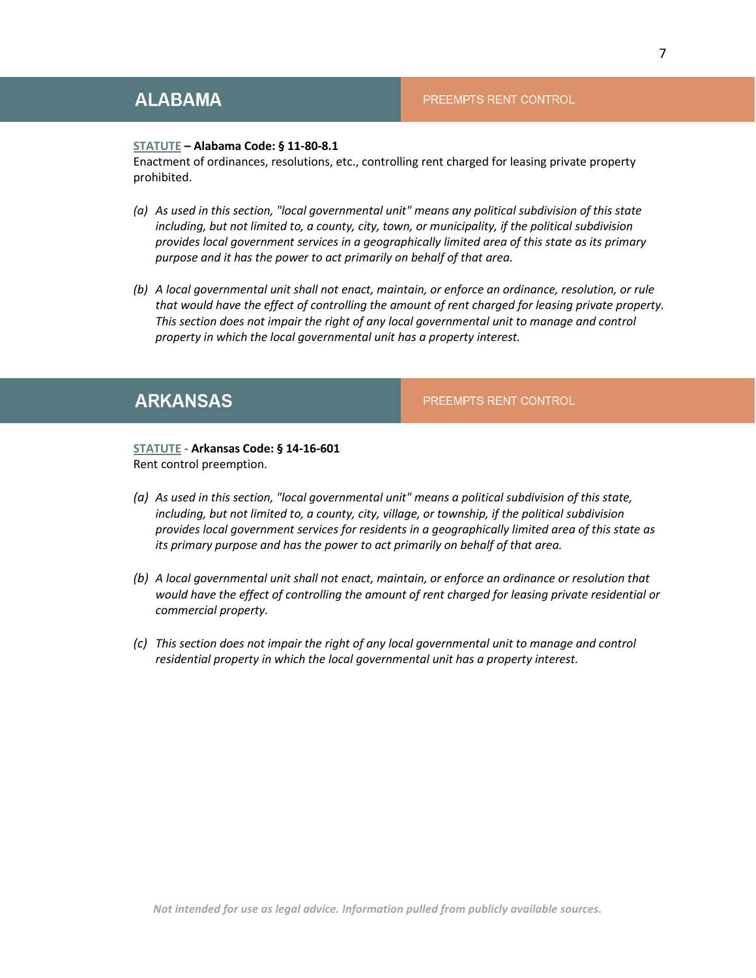### <span id="page-6-0"></span>**ALABAMA**

#### PREEMPTS RENT CONTROL

#### **[STATUTE](https://law.justia.com/codes/alabama/2006/8577/11-80-8.html) – Alabama Code: § 11-80-8.1**

Enactment of ordinances, resolutions, etc., controlling rent charged for leasing private property prohibited.

- *(a) As used in this section, "local governmental unit" means any political subdivision of this state including, but not limited to, a county, city, town, or municipality, if the political subdivision provides local government services in a geographically limited area of this state as its primary purpose and it has the power to act primarily on behalf of that area.*
- *(b) A local governmental unit shall not enact, maintain, or enforce an ordinance, resolution, or rule that would have the effect of controlling the amount of rent charged for leasing private property. This section does not impair the right of any local governmental unit to manage and control property in which the local governmental unit has a property interest.*

### <span id="page-6-1"></span>**ARKANSAS**

PREEMPTS RENT CONTROL

**[STATUTE](https://law.justia.com/codes/arkansas/2019/title-14/subtitle-2/chapter-16/subchapter-6/section-14-16-601/)** - **Arkansas Code: § 14-16-601**  Rent control preemption.

- *(a) As used in this section, "local governmental unit" means a political subdivision of this state, including, but not limited to, a county, city, village, or township, if the political subdivision provides local government services for residents in a geographically limited area of this state as its primary purpose and has the power to act primarily on behalf of that area.*
- *(b) A local governmental unit shall not enact, maintain, or enforce an ordinance or resolution that would have the effect of controlling the amount of rent charged for leasing private residential or commercial property.*
- *(c) This section does not impair the right of any local governmental unit to manage and control residential property in which the local governmental unit has a property interest.*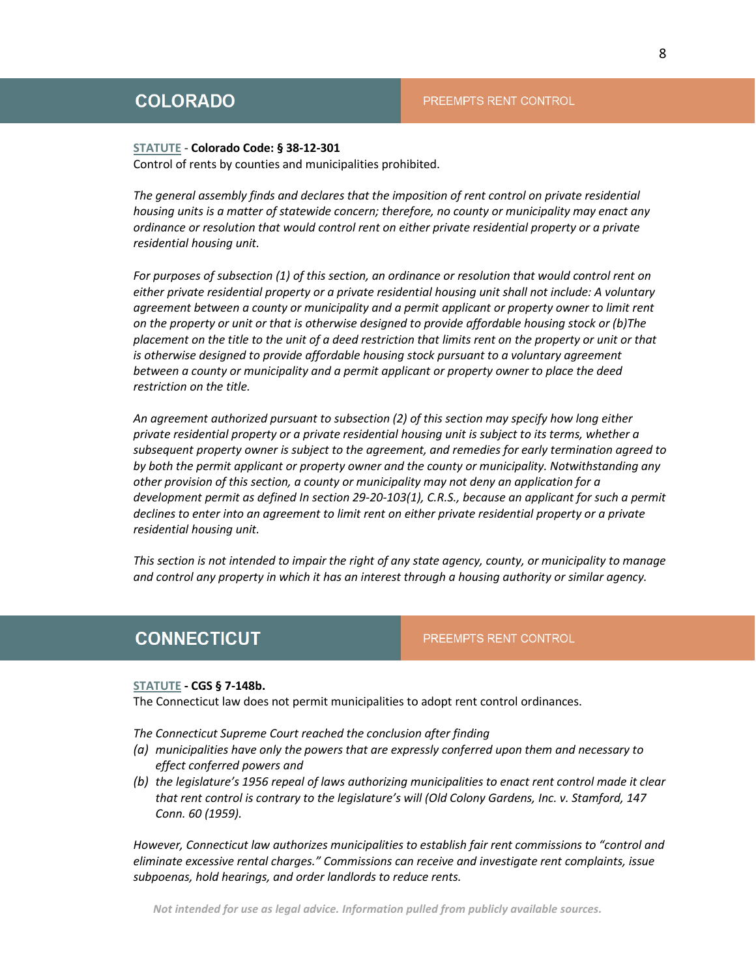#### <span id="page-7-0"></span>**[STATUTE](https://law.justia.com/codes/colorado/2020/title-38/article-12/section-38-12-301/)** - **Colorado Code: § 38-12-301**

Control of rents by counties and municipalities prohibited.

*The general assembly finds and declares that the imposition of rent control on private residential housing units is a matter of statewide concern; therefore, no county or municipality may enact any ordinance or resolution that would control rent on either private residential property or a private residential housing unit.* 

*For purposes of subsection (1) of this section, an ordinance or resolution that would control rent on either private residential property or a private residential housing unit shall not include: A voluntary agreement between a county or municipality and a permit applicant or property owner to limit rent on the property or unit or that is otherwise designed to provide affordable housing stock or (b)The placement on the title to the unit of a deed restriction that limits rent on the property or unit or that is otherwise designed to provide affordable housing stock pursuant to a voluntary agreement between a county or municipality and a permit applicant or property owner to place the deed restriction on the title.* 

*An agreement authorized pursuant to subsection (2) of this section may specify how long either private residential property or a private residential housing unit is subject to its terms, whether a subsequent property owner is subject to the agreement, and remedies for early termination agreed to by both the permit applicant or property owner and the county or municipality. Notwithstanding any other provision of this section, a county or municipality may not deny an application for a development permit as defined In section 29-20-103(1), C.R.S., because an applicant for such a permit declines to enter into an agreement to limit rent on either private residential property or a private residential housing unit.* 

*This section is not intended to impair the right of any state agency, county, or municipality to manage and control any property in which it has an interest through a housing authority or similar agency.*

### <span id="page-7-1"></span>**CONNECTICUT**

PREEMPTS RENT CONTROL

#### **[STATUTE](https://www.cga.ct.gov/2015/rpt/pdf/2015-R-0020.pdf) - CGS § 7-148b.**

The Connecticut law does not permit municipalities to adopt rent control ordinances.

*The Connecticut Supreme Court reached the conclusion after finding* 

- *(a) municipalities have only the powers that are expressly conferred upon them and necessary to effect conferred powers and*
- *(b) the legislature's 1956 repeal of laws authorizing municipalities to enact rent control made it clear that rent control is contrary to the legislature's will (Old Colony Gardens, Inc. v. Stamford, 147 Conn. 60 (1959).*

*However, Connecticut law authorizes municipalities to establish fair rent commissions to "control and eliminate excessive rental charges." Commissions can receive and investigate rent complaints, issue subpoenas, hold hearings, and order landlords to reduce rents.*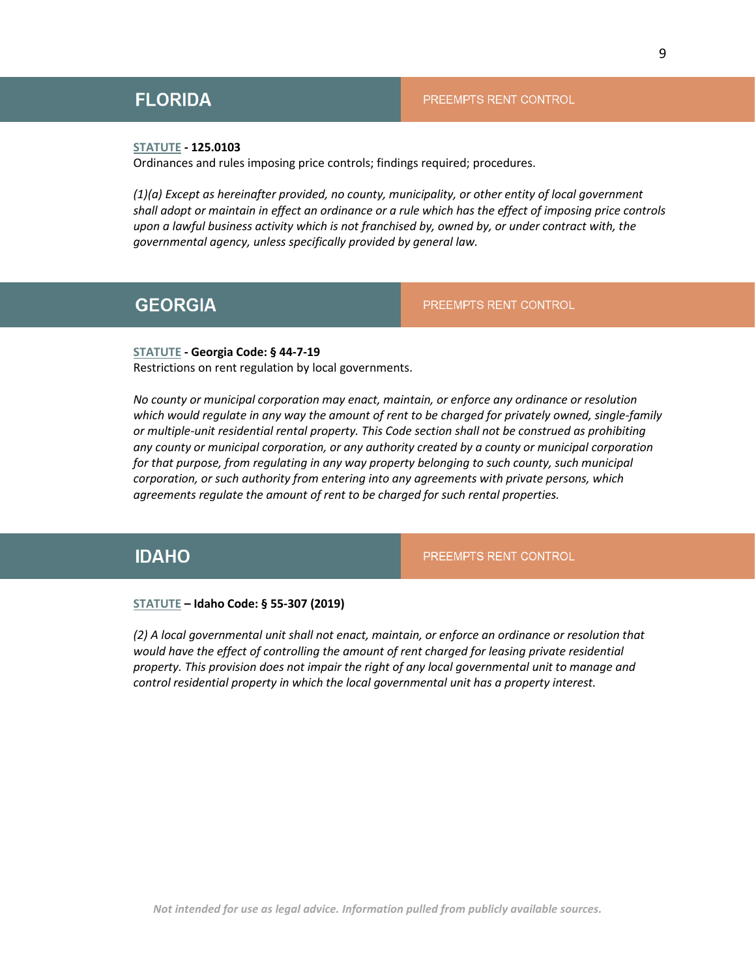### <span id="page-8-0"></span>**FLORIDA**

#### PREEMPTS RENT CONTROL

### **[STATUTE](http://www.leg.state.fl.us/Statutes/index.cfm?App_mode=Display_Statute&Search_String=&URL=0100-0199/0125/Sections/0125.0103.html) - 125.0103**

Ordinances and rules imposing price controls; findings required; procedures.

*(1)(a) Except as hereinafter provided, no county, municipality, or other entity of local government shall adopt or maintain in effect an ordinance or a rule which has the effect of imposing price controls upon a lawful business activity which is not franchised by, owned by, or under contract with, the governmental agency, unless specifically provided by general law.*

### <span id="page-8-1"></span>**GEORGIA**

PREEMPTS RENT CONTROL

**[STATUTE](https://law.justia.com/codes/georgia/2020/title-44/chapter-7/article-1/section-44-7-19/) - Georgia Code: § 44-7-19**  Restrictions on rent regulation by local governments.

*No county or municipal corporation may enact, maintain, or enforce any ordinance or resolution which would regulate in any way the amount of rent to be charged for privately owned, single-family or multiple-unit residential rental property. This Code section shall not be construed as prohibiting any county or municipal corporation, or any authority created by a county or municipal corporation for that purpose, from regulating in any way property belonging to such county, such municipal corporation, or such authority from entering into any agreements with private persons, which agreements regulate the amount of rent to be charged for such rental properties.*

### <span id="page-8-2"></span>**IDAHO**

PREEMPTS RENT CONTROL

### **[STATUTE](https://legislature.idaho.gov/statutesrules/idstat/title55/t55ch3/sect55-307/) – Idaho Code: § 55-307 (2019)**

*(2) A local governmental unit shall not enact, maintain, or enforce an ordinance or resolution that*  would have the effect of controlling the amount of rent charged for leasing private residential *property. This provision does not impair the right of any local governmental unit to manage and control residential property in which the local governmental unit has a property interest.*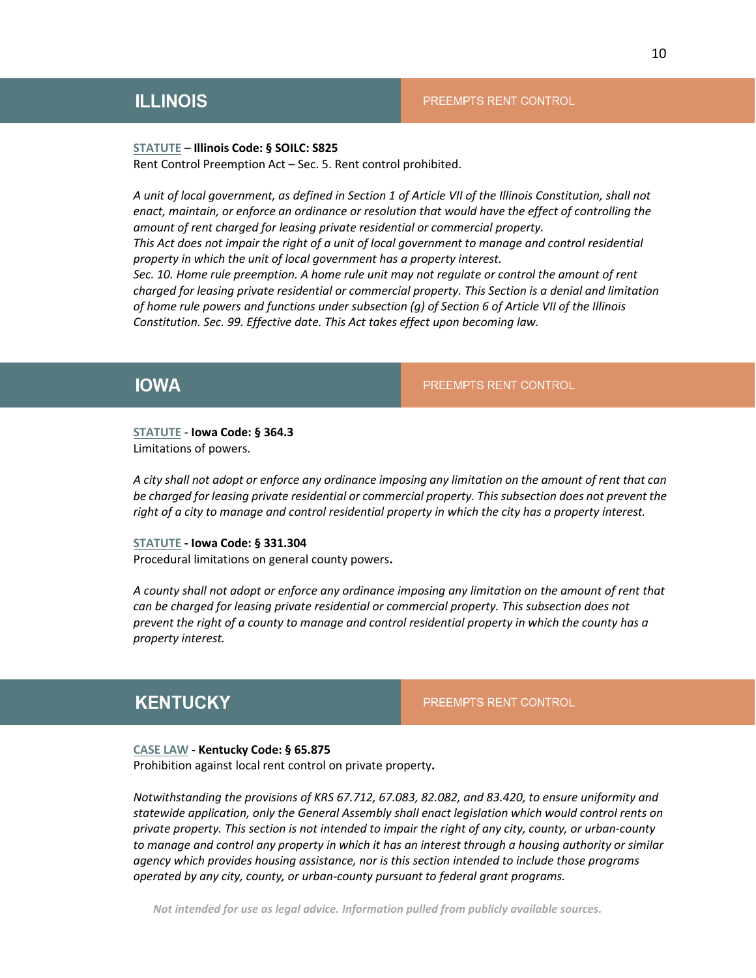### <span id="page-9-0"></span>**ILLINOIS**

#### PREEMPTS RENT CONTROL

#### **[STATUTE](http://www.ilga.gov/legislation/ilcs/ilcs3.asp?ActID=748&ChapterID=11)** – **Illinois Code: § SOILC: S825**

Rent Control Preemption Act – Sec. 5. Rent control prohibited.

*A unit of local government, as defined in Section 1 of Article VII of the Illinois Constitution, shall not enact, maintain, or enforce an ordinance or resolution that would have the effect of controlling the amount of rent charged for leasing private residential or commercial property. This Act does not impair the right of a unit of local government to manage and control residential* 

*property in which the unit of local government has a property interest. Sec. 10. Home rule preemption. A home rule unit may not regulate or control the amount of rent* 

*charged for leasing private residential or commercial property. This Section is a denial and limitation of home rule powers and functions under subsection (g) of Section 6 of Article VII of the Illinois Constitution. Sec. 99. Effective date. This Act takes effect upon becoming law.*

### <span id="page-9-1"></span>**IOWA**

PREEMPTS RENT CONTROL

# **[STATUTE](https://law.justia.com/codes/iowa/2016/title-ix/chapter-364/section-364.3/)** - **Iowa Code: § 364.3**

Limitations of powers.

*A city shall not adopt or enforce any ordinance imposing any limitation on the amount of rent that can be charged for leasing private residential or commercial property. This subsection does not prevent the right of a city to manage and control residential property in which the city has a property interest.*

### **[STATUTE](https://www.legis.iowa.gov/DOCS/IACODE/2001/331/304.html) - Iowa Code: § 331.304**

Procedural limitations on general county powers**.**

*A county shall not adopt or enforce any ordinance imposing any limitation on the amount of rent that can be charged for leasing private residential or commercial property. This subsection does not prevent the right of a county to manage and control residential property in which the county has a property interest.*

### <span id="page-9-2"></span>**KENTUCKY**

#### PREEMPTS RENT CONTROL

#### **[CASE LAW](https://www.lawserver.com/law/state/kentucky/ky-statutes/kentucky_statutes_65-875) - Kentucky Code: § 65.875**

Prohibition against local rent control on private property**.**

*Notwithstanding the provisions of KRS 67.712, 67.083, 82.082, and 83.420, to ensure uniformity and statewide application, only the General Assembly shall enact legislation which would control rents on private property. This section is not intended to impair the right of any city, county, or urban-county to manage and control any property in which it has an interest through a housing authority or similar agency which provides housing assistance, nor is this section intended to include those programs operated by any city, county, or urban-county pursuant to federal grant programs.*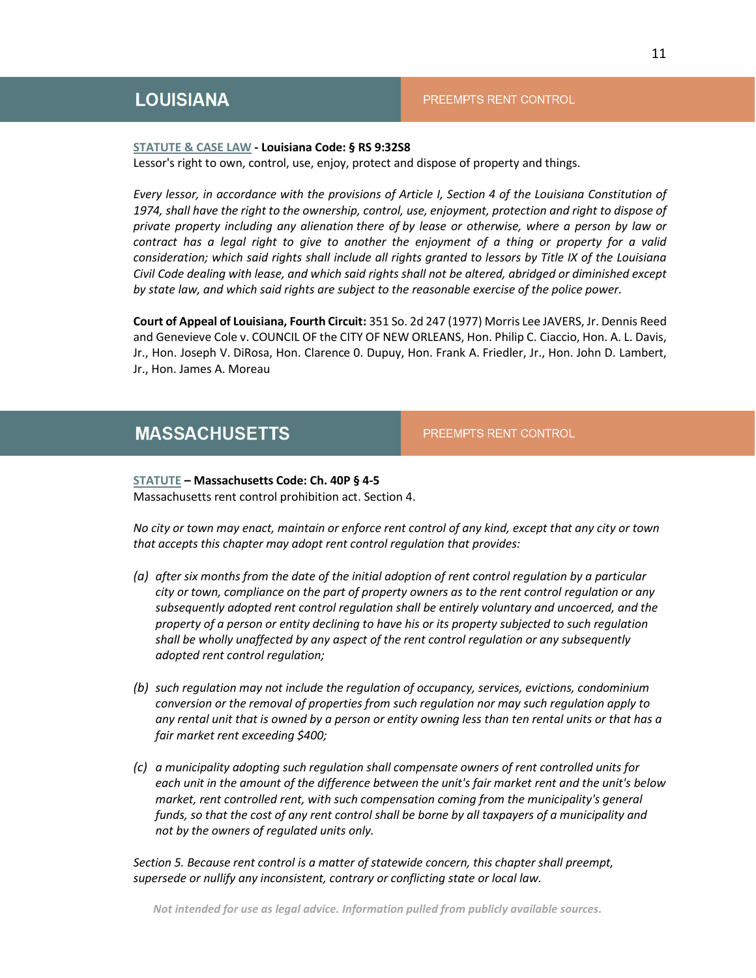#### <span id="page-10-0"></span>**[STATUTE & CASE LAW](https://law.justia.com/codes/louisiana/2020/revised-statutes/title-9/rs-3258/) - Louisiana Code: § RS 9:32S8**

Lessor's right to own, control, use, enjoy, protect and dispose of property and things.

*Every lessor, in accordance with the provisions of Article I, Section 4 of the Louisiana Constitution of 1974, shall have the right to the ownership, control, use, enjoyment, protection and right to dispose of private property including any alienation there of by lease or otherwise, where a person by law or contract has a legal right to give to another the enjoyment of a thing or property for a valid consideration; which said rights shall include all rights granted to lessors by Title IX of the Louisiana Civil Code dealing with lease, and which said rights shall not be altered, abridged or diminished except by state law, and which said rights are subject to the reasonable exercise of the police power.*

**Court of Appeal of Louisiana, Fourth Circuit:** 351 So. 2d 247 (1977) Morris Lee JAVERS, Jr. Dennis Reed and Genevieve Cole v. COUNCIL OF the CITY OF NEW ORLEANS, Hon. Philip C. Ciaccio, Hon. A. L. Davis, Jr., Hon. Joseph V. DiRosa, Hon. Clarence 0. Dupuy, Hon. Frank A. Friedler, Jr., Hon. John D. Lambert, Jr., Hon. James A. Moreau

### <span id="page-10-1"></span>**MASSACHUSETTS**

PREEMPTS RENT CONTROL

**[STATUTE](https://malegislature.gov/Laws/GeneralLaws/PartI/TitleVII/Chapter40P/Section2) – Massachusetts Code: Ch. 40P § 4-5**  Massachusetts rent control prohibition act. Section 4.

*No city or town may enact, maintain or enforce rent control of any kind, except that any city or town that accepts this chapter may adopt rent control regulation that provides:* 

- *(a) after six months from the date of the initial adoption of rent control regulation by a particular city or town, compliance on the part of property owners as to the rent control regulation or any subsequently adopted rent control regulation shall be entirely voluntary and uncoerced, and the property of a person or entity declining to have his or its property subjected to such regulation shall be wholly unaffected by any aspect of the rent control regulation or any subsequently adopted rent control regulation;*
- *(b) such regulation may not include the regulation of occupancy, services, evictions, condominium conversion or the removal of properties from such regulation nor may such regulation apply to any rental unit that is owned by a person or entity owning less than ten rental units or that has a fair market rent exceeding \$400;*
- *(c) a municipality adopting such regulation shall compensate owners of rent controlled units for each unit in the amount of the difference between the unit's fair market rent and the unit's below market, rent controlled rent, with such compensation coming from the municipality's general funds, so that the cost of any rent control shall be borne by all taxpayers of a municipality and not by the owners of regulated units only.*

*Section 5. Because rent control is a matter of statewide concern, this chapter shall preempt, supersede or nullify any inconsistent, contrary or conflicting state or local law.*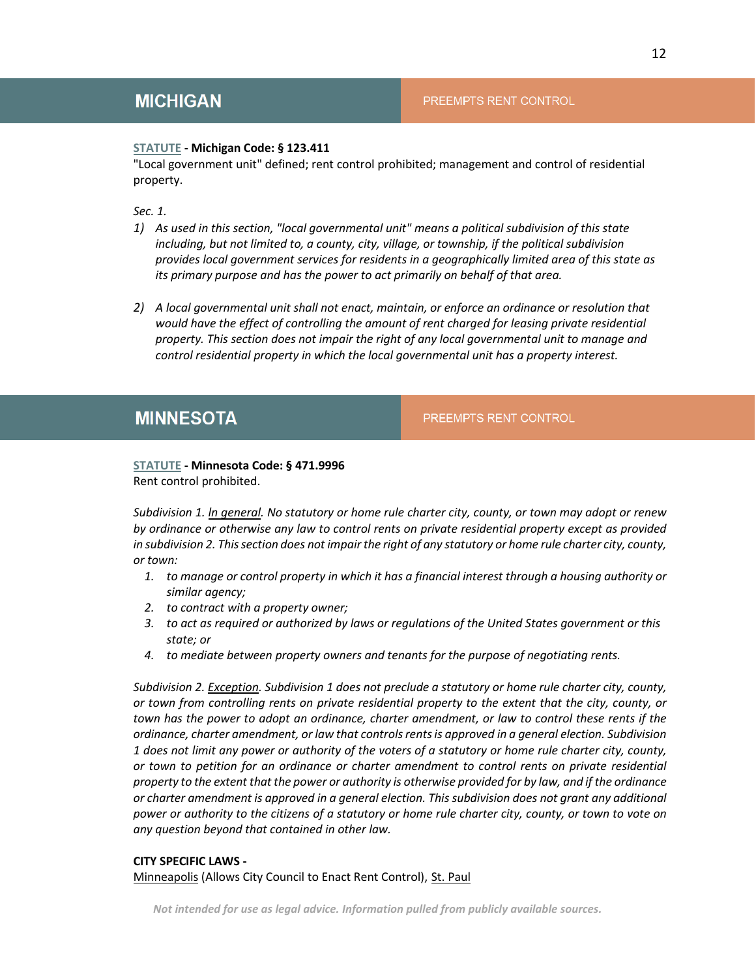### <span id="page-11-0"></span>**[STATUTE](http://www.legislature.mi.gov/(S(yeueibal4vzdpw3towocl3cr))/mileg.aspx?page=GetObject&objectname=mcl-123-411) - Michigan Code: § 123.411**

"Local government unit" defined; rent control prohibited; management and control of residential property.

*Sec. 1.* 

- *1) As used in this section, "local governmental unit" means a political subdivision of this state including, but not limited to, a county, city, village, or township, if the political subdivision provides local government services for residents in a geographically limited area of this state as its primary purpose and has the power to act primarily on behalf of that area.*
- *2) A local governmental unit shall not enact, maintain, or enforce an ordinance or resolution that would have the effect of controlling the amount of rent charged for leasing private residential property. This section does not impair the right of any local governmental unit to manage and control residential property in which the local governmental unit has a property interest.*

### <span id="page-11-1"></span>**MINNESOTA**

PREEMPTS RENT CONTROL

#### **[STATUTE](https://www.revisor.mn.gov/statutes/cite/471.9996) - Minnesota Code: § 471.9996**  Rent control prohibited.

*Subdivision 1. ln general. No statutory or home rule charter city, county, or town may adopt or renew by ordinance or otherwise any law to control rents on private residential property except as provided in subdivision 2. This section does not impair the right of any statutory or home rule charter city, county, or town:*

- *1. to manage or control property in which it has a financial interest through a housing authority or similar agency;*
- *2. to contract with a property owner;*
- *3. to act as required or authorized by laws or regulations of the United States government or this state; or*
- *4. to mediate between property owners and tenants for the purpose of negotiating rents.*

*Subdivision 2. Exception. Subdivision 1 does not preclude a statutory or home rule charter city, county, or town from controlling rents on private residential property to the extent that the city, county, or town has the power to adopt an ordinance, charter amendment, or law to control these rents if the ordinance, charter amendment, or law that controls rents is approved in a general election. Subdivision 1 does not limit any power or authority of the voters of a statutory or home rule charter city, county, or town to petition for an ordinance or charter amendment to control rents on private residential property to the extent that the power or authority is otherwise provided for by law, and if the ordinance or charter amendment is approved in a general election. This subdivision does not grant any additional power or authority to the citizens of a statutory or home rule charter city, county, or town to vote on any question beyond that contained in other law.* 

### **CITY SPECIFIC LAWS -**

[Minneapolis](https://vote.minneapolismn.gov/media/-www-content-assets/documents/Proposed-Minneapolis-City-Charter-Amendment-Text-Question-3-Rent-Control-Ordinance.pdf) (Allows City Council to Enact Rent Control), [St. Paul](https://s3.documentcloud.org/documents/21045803/proposed-saint-paul-ord.pdf)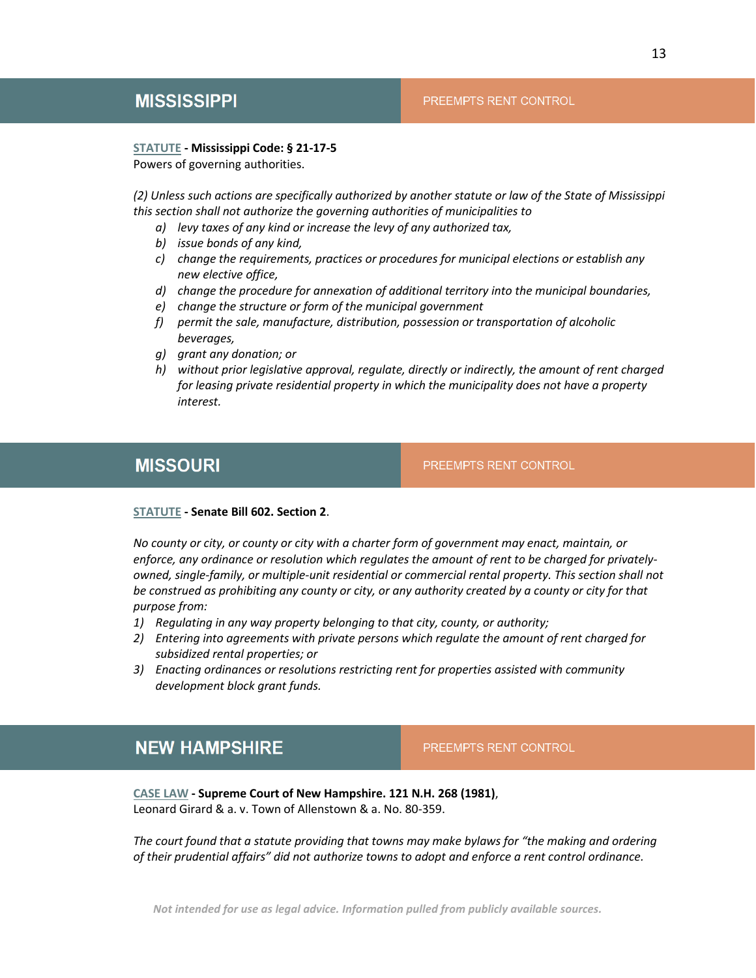### <span id="page-12-0"></span>**MISSISSIPPI**

### PREEMPTS RENT CONTROL

#### **[STATUTE](https://law.justia.com/codes/mississippi/2019/title-21/chapter-17/section-21-17-5/) - Mississippi Code: § 21-17-5**

Powers of governing authorities.

*(2) Unless such actions are specifically authorized by another statute or law of the State of Mississippi this section shall not authorize the governing authorities of municipalities to* 

- *a) levy taxes of any kind or increase the levy of any authorized tax,*
- *b) issue bonds of any kind,*
- *c) change the requirements, practices or procedures for municipal elections or establish any new elective office,*
- *d) change the procedure for annexation of additional territory into the municipal boundaries,*
- *e) change the structure or form of the municipal government*
- *f) permit the sale, manufacture, distribution, possession or transportation of alcoholic beverages,*
- *g) grant any donation; or*
- *h) without prior legislative approval, regulate, directly or indirectly, the amount of rent charged for leasing private residential property in which the municipality does not have a property interest.*

### <span id="page-12-1"></span>**MISSOURI**

PREEMPTS RENT CONTROL

#### **[STATUTE](https://www.nmhc.org/uploadedFiles/Articles/Final_Legislation_and_Regulation/Missouri%20Rent%20Control.pdf) - Senate Bill 602. Section 2**.

*No county or city, or county or city with a charter form of government may enact, maintain, or enforce, any ordinance or resolution which regulates the amount of rent to be charged for privatelyowned, single-family, or multiple-unit residential or commercial rental property. This section shall not be construed as prohibiting any county or city, or any authority created by a county or city for that purpose from:* 

- *1) Regulating in any way property belonging to that city, county, or authority;*
- *2) Entering into agreements with private persons which regulate the amount of rent charged for subsidized rental properties; or*
- *3) Enacting ordinances or resolutions restricting rent for properties assisted with community development block grant funds.*

### <span id="page-12-2"></span>**NEW HAMPSHIRE**

PREEMPTS RENT CONTROL

**[CASE LAW](https://scholar.google.com/scholar_case?case=15938801795037476919&hl=en&as_sdt=6,47) - Supreme Court of New Hampshire. 121 N.H. 268 (1981)**, Leonard Girard & a. v. Town of Allenstown & a. No. 80-359.

*The court found that a statute providing that towns may make bylaws for "the making and ordering of their prudential affairs" did not authorize towns to adopt and enforce a rent control ordinance.*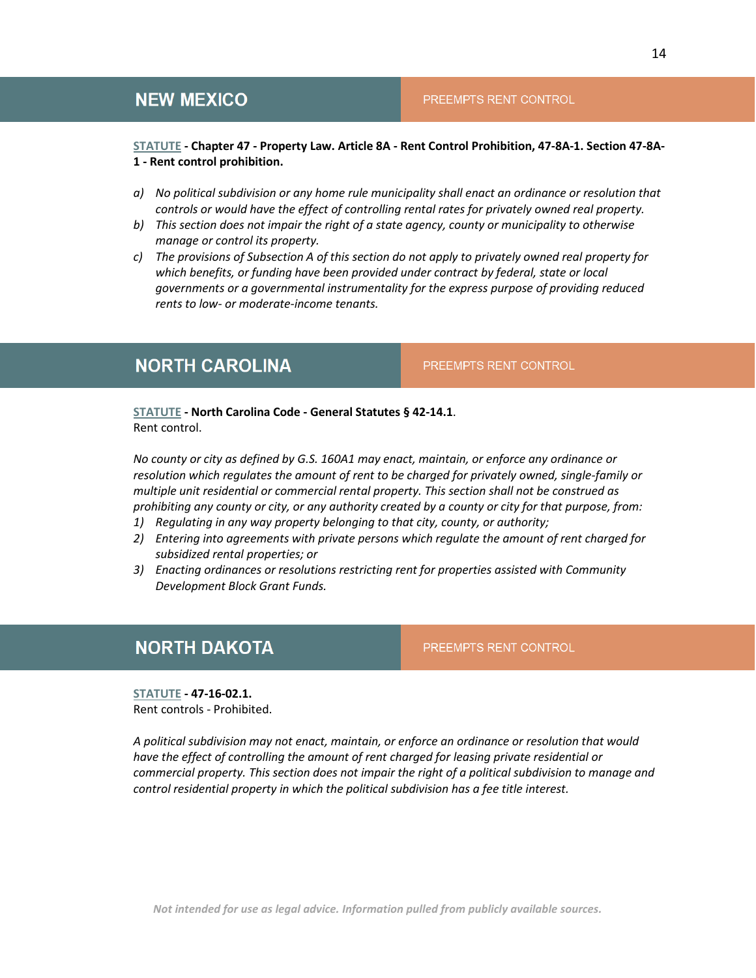### <span id="page-13-0"></span>**NEW MEXICO**

### PREEMPTS RENT CONTROL

### **[STATUTE](https://law.justia.com/codes/new-mexico/2020/chapter-47/article-8a/section-47-8a-1/) - Chapter 47 - Property Law. Article 8A - Rent Control Prohibition, 47-8A-1. Section 47-8A-1 - Rent control prohibition.**

- *a) No political subdivision or any home rule municipality shall enact an ordinance or resolution that controls or would have the effect of controlling rental rates for privately owned real property.*
- *b) This section does not impair the right of a state agency, county or municipality to otherwise manage or control its property.*
- *c) The provisions of Subsection A of this section do not apply to privately owned real property for which benefits, or funding have been provided under contract by federal, state or local governments or a governmental instrumentality for the express purpose of providing reduced rents to low- or moderate-income tenants.*

### <span id="page-13-1"></span>**NORTH CAROLINA**

PREEMPTS RENT CONTROL

PREEMPTS RENT CONTROL

**[STATUTE](https://law.justia.com/codes/north-carolina/2020/chapter-42/article-1/section-42-14-1/) - North Carolina Code - General Statutes § 42-14.1**. Rent control.

*No county or city as defined by G.S. 160A1 may enact, maintain, or enforce any ordinance or resolution which regulates the amount of rent to be charged for privately owned, single-family or multiple unit residential or commercial rental property. This section shall not be construed as prohibiting any county or city, or any authority created by a county or city for that purpose, from:* 

- *1) Regulating in any way property belonging to that city, county, or authority;*
- *2) Entering into agreements with private persons which regulate the amount of rent charged for subsidized rental properties; or*
- *3) Enacting ordinances or resolutions restricting rent for properties assisted with Community Development Block Grant Funds.*

### <span id="page-13-2"></span>**NORTH DAKOTA**

**[STATUTE](https://www.legis.nd.gov/cencode/t47c16.pdf?20160325135932) - 47-16-02.1.**  Rent controls - Prohibited.

*A political subdivision may not enact, maintain, or enforce an ordinance or resolution that would have the effect of controlling the amount of rent charged for leasing private residential or commercial property. This section does not impair the right of a political subdivision to manage and control residential property in which the political subdivision has a fee title interest.*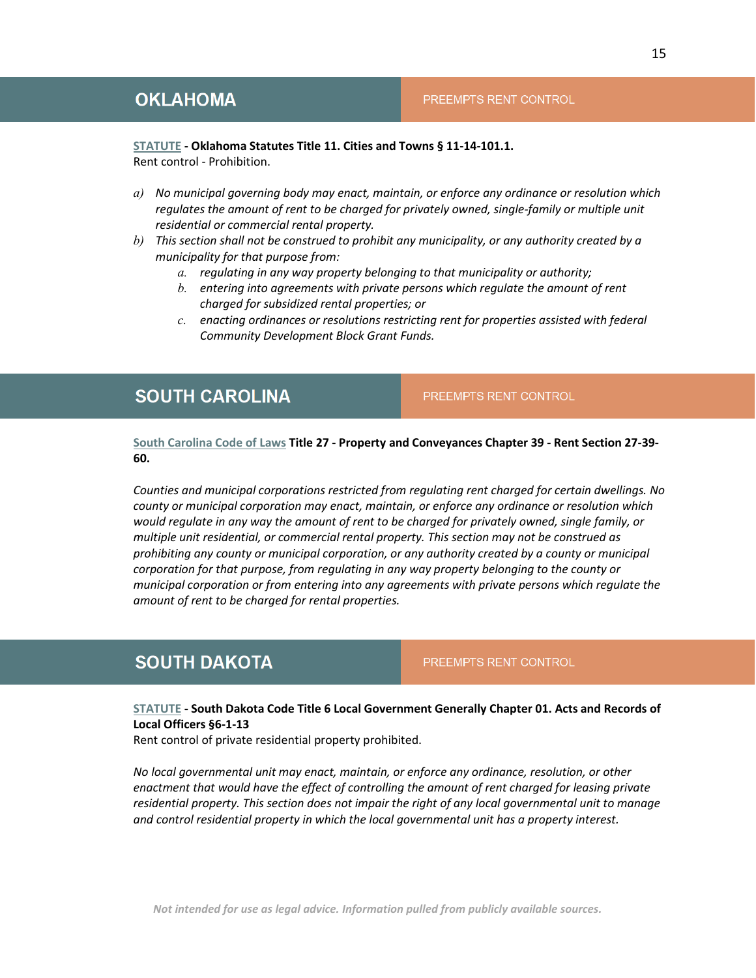### <span id="page-14-0"></span>**[STATUTE](https://law.justia.com/codes/oklahoma/2020/title-11/section-11-14-101-1/) - Oklahoma Statutes Title 11. Cities and Towns § 11-14-101.1.**

Rent control - Prohibition.

- *a) No municipal governing body may enact, maintain, or enforce any ordinance or resolution which*  regulates the amount of rent to be charged for privately owned, single-family or multiple unit *residential or commercial rental property.*
- *b) This section shall not be construed to prohibit any municipality, or any authority created by a municipality for that purpose from:* 
	- *a. regulating in any way property belonging to that municipality or authority;*
	- *b. entering into agreements with private persons which regulate the amount of rent charged for subsidized rental properties; or*
	- *c. enacting ordinances or resolutions restricting rent for properties assisted with federal Community Development Block Grant Funds.*

### <span id="page-14-1"></span>**SOUTH CAROLINA**

PREEMPTS RENT CONTROL

**[South Carolina Code of Laws](https://law.justia.com/codes/south-carolina/2013/title-27/chapter-39/section-27-39-60/) Title 27 - Property and Conveyances Chapter 39 - Rent Section 27-39- 60.**

*Counties and municipal corporations restricted from regulating rent charged for certain dwellings. No county or municipal corporation may enact, maintain, or enforce any ordinance or resolution which would regulate in any way the amount of rent to be charged for privately owned, single family, or multiple unit residential, or commercial rental property. This section may not be construed as prohibiting any county or municipal corporation, or any authority created by a county or municipal corporation for that purpose, from regulating in any way property belonging to the county or municipal corporation or from entering into any agreements with private persons which regulate the amount of rent to be charged for rental properties.*

### <span id="page-14-2"></span>**SOUTH DAKOTA**

PREEMPTS RENT CONTROL

**[STATUTE](https://law.justia.com/codes/south-dakota/2021/title-6/chapter-01/section-6-1-13/) - South Dakota Code Title 6 Local Government Generally Chapter 01. Acts and Records of Local Officers §6-1-13**

Rent control of private residential property prohibited.

*No local governmental unit may enact, maintain, or enforce any ordinance, resolution, or other enactment that would have the effect of controlling the amount of rent charged for leasing private residential property. This section does not impair the right of any local governmental unit to manage and control residential property in which the local governmental unit has a property interest.*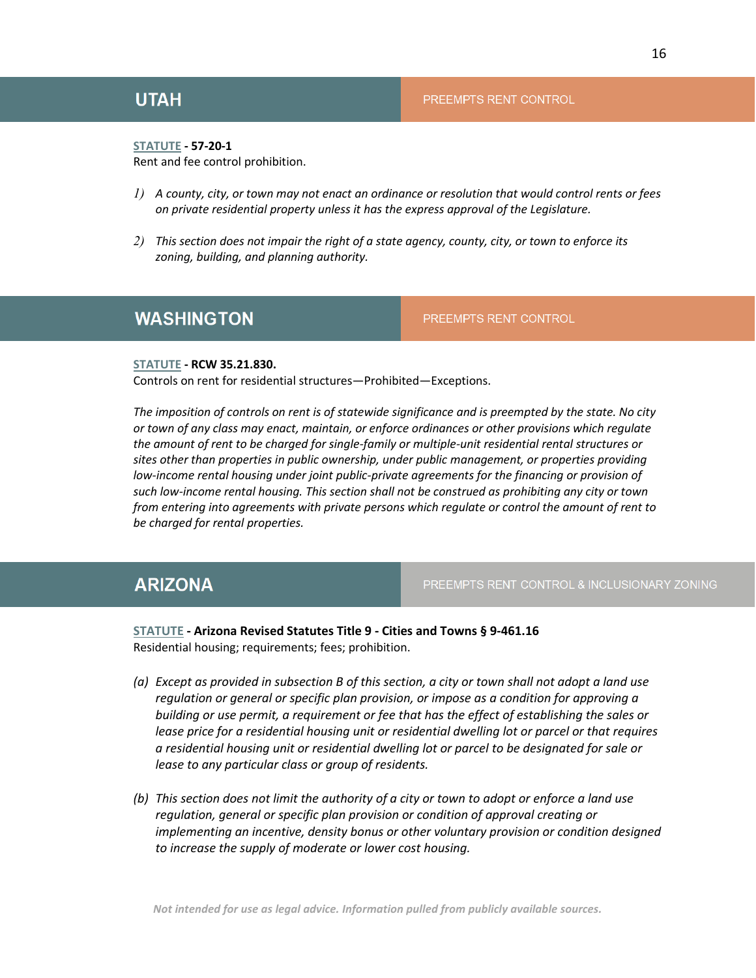#### <span id="page-15-0"></span>**[STATUTE](https://le.utah.gov/xcode/Title57/Chapter20/C57-20-S1_1800010118000101.pdf) - 57-20-1**

Rent and fee control prohibition.

- *1) A county, city, or town may not enact an ordinance or resolution that would control rents or fees on private residential property unless it has the express approval of the Legislature.*
- *2) This section does not impair the right of a state agency, county, city, or town to enforce its zoning, building, and planning authority.*

### <span id="page-15-1"></span>**WASHINGTON**

PREEMPTS RENT CONTROL

### **[STATUTE](http://apps.leg.wa.gov/rcw/default.aspx?cite=35.21.830) - RCW 35.21.830.**

Controls on rent for residential structures—Prohibited—Exceptions.

*The imposition of controls on rent is of statewide significance and is preempted by the state. No city or town of any class may enact, maintain, or enforce ordinances or other provisions which regulate the amount of rent to be charged for single-family or multiple-unit residential rental structures or sites other than properties in public ownership, under public management, or properties providing low-income rental housing under joint public-private agreements for the financing or provision of such low-income rental housing. This section shall not be construed as prohibiting any city or town from entering into agreements with private persons which regulate or control the amount of rent to be charged for rental properties.*

### <span id="page-15-2"></span>**ARIZONA**

PREEMPTS RENT CONTROL & INCLUSIONARY ZONING

### **[STATUTE](https://law.justia.com/codes/arizona/2021/title-9/section-9-461-16/) - Arizona Revised Statutes Title 9 - Cities and Towns § 9-461.16** Residential housing; requirements; fees; prohibition.

- *(a) Except as provided in subsection B of this section, a city or town shall not adopt a land use regulation or general or specific plan provision, or impose as a condition for approving a building or use permit, a requirement or fee that has the effect of establishing the sales or lease price for a residential housing unit or residential dwelling lot or parcel or that requires a residential housing unit or residential dwelling lot or parcel to be designated for sale or lease to any particular class or group of residents.*
- *(b) This section does not limit the authority of a city or town to adopt or enforce a land use regulation, general or specific plan provision or condition of approval creating or implementing an incentive, density bonus or other voluntary provision or condition designed to increase the supply of moderate or lower cost housing.*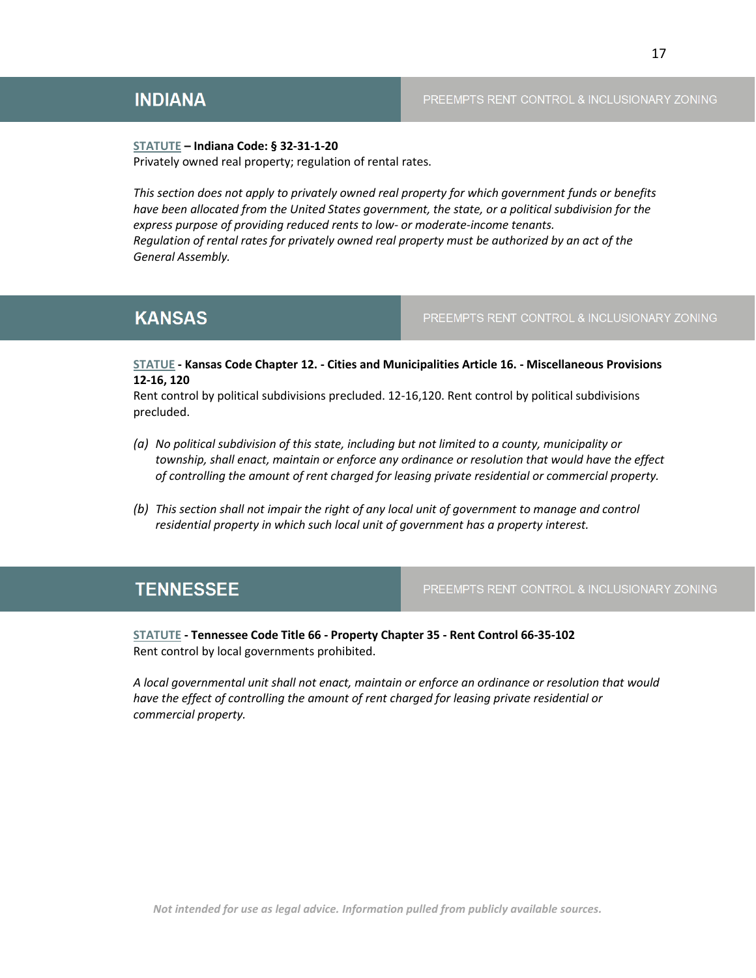### <span id="page-16-0"></span>**INDIANA**

### PREEMPTS RENT CONTROL & INCLUSIONARY ZONING

**[STATUTE](http://iga.in.gov/static-documents/4/e/7/e/4e7eb06c/TITLE32_AR31_ch1.pdf) – Indiana Code: § 32-31-1-20**  Privately owned real property; regulation of rental rates.

*This section does not apply to privately owned real property for which government funds or benefits have been allocated from the United States government, the state, or a political subdivision for the express purpose of providing reduced rents to low- or moderate-income tenants. Regulation of rental rates for privately owned real property must be authorized by an act of the General Assembly.*

### <span id="page-16-1"></span>**KANSAS**

PREEMPTS RENT CONTROL & INCLUSIONARY ZONING

**[STATUE](http://www.ksrevisor.org/statutes/chapters/ch12/012_016_0120.html) - Kansas Code Chapter 12. - Cities and Municipalities Article 16. - Miscellaneous Provisions 12-16, 120**

Rent control by political subdivisions precluded. 12-16,120. Rent control by political subdivisions precluded.

- *(a) No political subdivision of this state, including but not limited to a county, municipality or township, shall enact, maintain or enforce any ordinance or resolution that would have the effect of controlling the amount of rent charged for leasing private residential or commercial property.*
- *(b) This section shall not impair the right of any local unit of government to manage and control residential property in which such local unit of government has a property interest.*

### <span id="page-16-2"></span>**TENNESSEE**

PREEMPTS RENT CONTROL & INCLUSIONARY ZONING

**[STATUTE](https://law.justia.com/codes/tennessee/2020/title-66/chapter-35/section-66-35-102/) - Tennessee Code Title 66 - Property Chapter 35 - Rent Control 66-35-102**  Rent control by local governments prohibited.

*A local governmental unit shall not enact, maintain or enforce an ordinance or resolution that would have the effect of controlling the amount of rent charged for leasing private residential or commercial property.*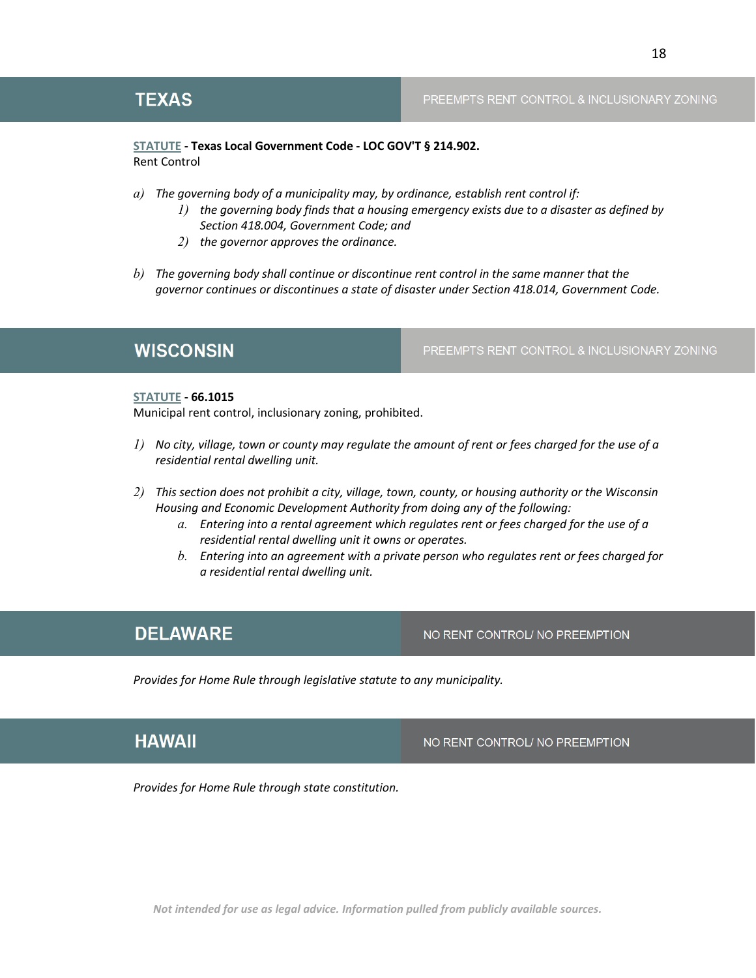#### PREEMPTS RENT CONTROL & INCLUSIONARY ZONING

### <span id="page-17-2"></span>**[STATUTE](https://statutes.capitol.texas.gov/Docs/LG/htm/LG.214.htm) - Texas Local Government Code - LOC GOV'T § 214.902.**  Rent Control

- *a) The governing body of a municipality may, by ordinance, establish rent control if:* 
	- *1) the governing body finds that a housing emergency exists due to a disaster as defined by Section 418.004, Government Code; and*
	- *2) the governor approves the ordinance.*
- *b) The governing body shall continue or discontinue rent control in the same manner that the governor continues or discontinues a state of disaster under Section 418.014, Government Code.*

### <span id="page-17-3"></span>**WISCONSIN**

PREEMPTS RENT CONTROL & INCLUSIONARY ZONING

#### **[STATUTE](https://docs.legis.wisconsin.gov/statutes/statutes/66/X/1015) - 66.1015**

Municipal rent control, inclusionary zoning, prohibited.

- *1) No city, village, town or county may regulate the amount of rent or fees charged for the use of a residential rental dwelling unit.*
- *2) This section does not prohibit a city, village, town, county, or housing authority or the Wisconsin Housing and Economic Development Authority from doing any of the following:*
	- *a. Entering into a rental agreement which regulates rent or fees charged for the use of a residential rental dwelling unit it owns or operates.*
	- *b. Entering into an agreement with a private person who regulates rent or fees charged for a residential rental dwelling unit.*

### <span id="page-17-0"></span>**DELAWARE**

NO RENT CONTROL/ NO PREEMPTION

*Provides for Home Rule through legislative statute to any municipality.*

### <span id="page-17-1"></span>**HAWAII**

NO RENT CONTROL/ NO PREEMPTION

*Provides for Home Rule through state constitution.*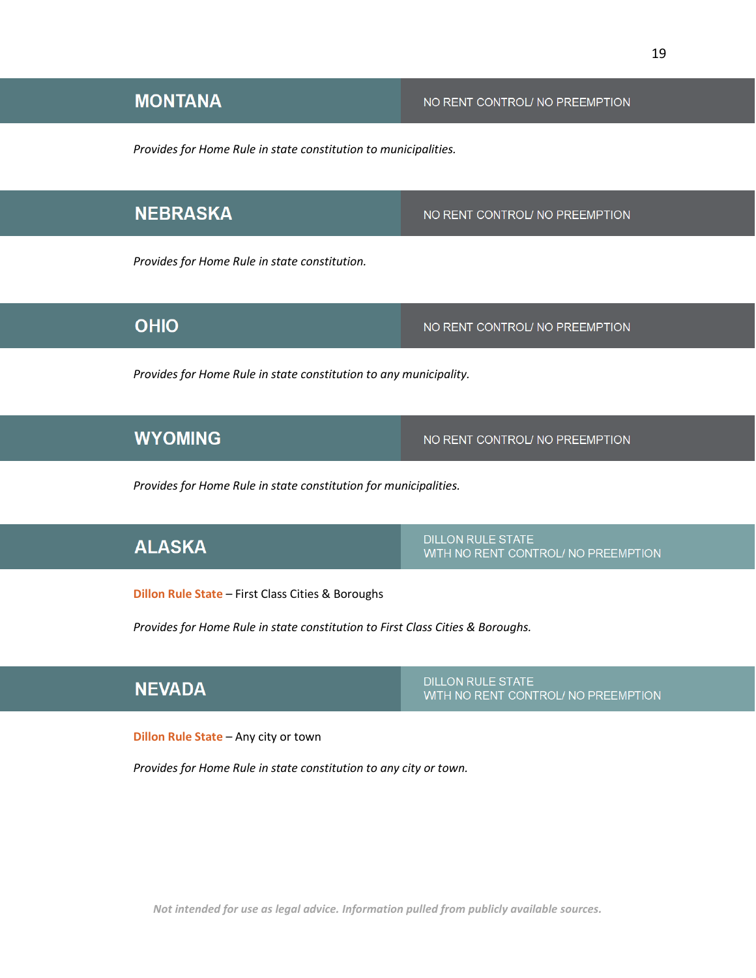# <span id="page-18-0"></span>**MONTANA**

*Provides for Home Rule in state constitution to municipalities.*

# <span id="page-18-1"></span>**NEBRASKA**

*Provides for Home Rule in state constitution.*

### <span id="page-18-2"></span>**OHIO**

# <span id="page-18-3"></span>**WYOMING**

NO RENT CONTROL/ NO PREEMPTION

*Provides for Home Rule in state constitution for municipalities.* 

*Provides for Home Rule in state constitution to any municipality.*

# <span id="page-18-4"></span>**ALASKA**

**DILLON RULE STATE** WITH NO RENT CONTROL/ NO PREEMPTION

**Dillon Rule State** – First Class Cities & Boroughs

*Provides for Home Rule in state constitution to First Class Cities & Boroughs.*

### <span id="page-18-5"></span>**NEVADA**

**DILLON RULE STATE** WITH NO RENT CONTROL/ NO PREEMPTION

**Dillon Rule State** – Any city or town

*Provides for Home Rule in state constitution to any city or town.*

*Not intended for use as legal advice. Information pulled from publicly available sources.*

NO RENT CONTROL/ NO PREEMPTION

NO RENT CONTROL/ NO PREEMPTION

NO RENT CONTROL/ NO PREEMPTION